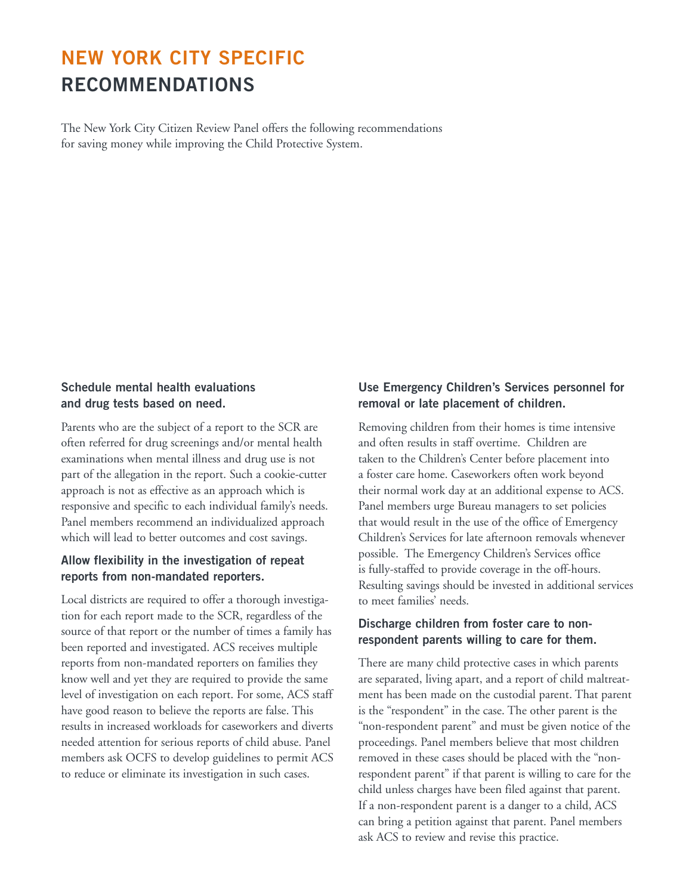# **NEW YORK CITY SPECIFIC RECOMMENDATIONS**

The New York City Citizen Review Panel offers the following recommendations for saving money while improving the Child Protective System.

#### **Schedule mental health evaluations and drug tests based on need.**

Parents who are the subject of a report to the SCR are often referred for drug screenings and/or mental health examinations when mental illness and drug use is not part of the allegation in the report. Such a cookie-cutter approach is not as effective as an approach which is responsive and specific to each individual family's needs. Panel members recommend an individualized approach which will lead to better outcomes and cost savings.

# **Allow flexibility in the investigation of repeat reports from non-mandated reporters.**

Local districts are required to offer a thorough investigation for each report made to the SCR, regardless of the source of that report or the number of times a family has been reported and investigated. ACS receives multiple reports from non-mandated reporters on families they know well and yet they are required to provide the same level of investigation on each report. For some, ACS staff have good reason to believe the reports are false. This results in increased workloads for caseworkers and diverts needed attention for serious reports of child abuse. Panel members ask OCFS to develop guidelines to permit ACS to reduce or eliminate its investigation in such cases.

# **Use Emergency Children's Services personnel for removal or late placement of children.**

Removing children from their homes is time intensive and often results in staff overtime. Children are taken to the Children's Center before placement into a foster care home. Caseworkers often work beyond their normal work day at an additional expense to ACS. Panel members urge Bureau managers to set policies that would result in the use of the office of Emergency Children's Services for late afternoon removals whenever possible. The Emergency Children's Services office is fully-staffed to provide coverage in the off-hours. Resulting savings should be invested in additional services to meet families' needs.

# **Discharge children from foster care to nonrespondent parents willing to care for them.**

There are many child protective cases in which parents are separated, living apart, and a report of child maltreatment has been made on the custodial parent. That parent is the "respondent" in the case. The other parent is the "non-respondent parent" and must be given notice of the proceedings. Panel members believe that most children removed in these cases should be placed with the "nonrespondent parent" if that parent is willing to care for the child unless charges have been filed against that parent. If a non-respondent parent is a danger to a child, ACS can bring a petition against that parent. Panel members ask ACS to review and revise this practice.